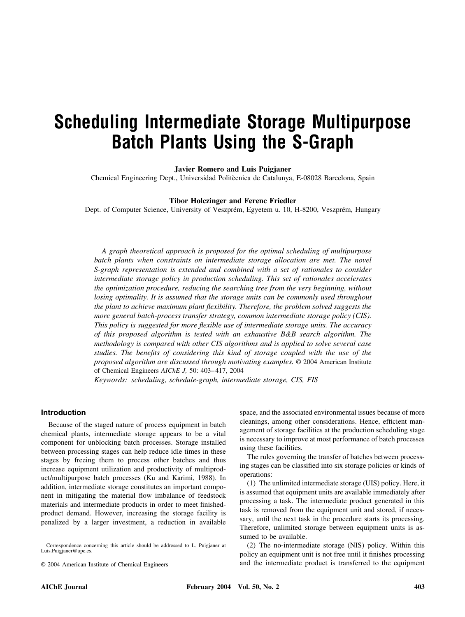# **Scheduling Intermediate Storage Multipurpose Batch Plants Using the S-Graph**

#### **Javier Romero and Luis Puigjaner**

Chemical Engineering Dept., Universidad Politècnica de Catalunya, E-08028 Barcelona, Spain

# **Tibor Holczinger and Ferenc Friedler**

Dept. of Computer Science, University of Veszprém, Egyetem u. 10, H-8200, Veszprém, Hungary

*A graph theoretical approach is proposed for the optimal scheduling of multipurpose batch plants when constraints on intermediate storage allocation are met. The novel S-graph representation is extended and combined with a set of rationales to consider intermediate storage policy in production scheduling. This set of rationales accelerates the optimization procedure, reducing the searching tree from the very beginning, without losing optimality. It is assumed that the storage units can be commonly used throughout the plant to achieve maximum plant flexibility. Therefore, the problem solved suggests the more general batch-process transfer strategy, common intermediate storage policy (CIS). This policy is suggested for more flexible use of intermediate storage units. The accuracy of this proposed algorithm is tested with an exhaustive B&B search algorithm. The methodology is compared with other CIS algorithms and is applied to solve several case studies. The benefits of considering this kind of storage coupled with the use of the proposed algorithm are discussed through motivating examples.* © 2004 American Institute of Chemical Engineers *AIChE J,* 50: 403– 417, 2004

*Keywords: scheduling, schedule-graph, intermediate storage, CIS, FIS*

#### **Introduction**

Because of the staged nature of process equipment in batch chemical plants, intermediate storage appears to be a vital component for unblocking batch processes. Storage installed between processing stages can help reduce idle times in these stages by freeing them to process other batches and thus increase equipment utilization and productivity of multiproduct/multipurpose batch processes (Ku and Karimi, 1988). In addition, intermediate storage constitutes an important component in mitigating the material flow imbalance of feedstock materials and intermediate products in order to meet finishedproduct demand. However, increasing the storage facility is penalized by a larger investment, a reduction in available

space, and the associated environmental issues because of more cleanings, among other considerations. Hence, efficient management of storage facilities at the production scheduling stage is necessary to improve at most performance of batch processes using these facilities.

The rules governing the transfer of batches between processing stages can be classified into six storage policies or kinds of operations:

(1) The unlimited intermediate storage (UIS) policy. Here, it is assumed that equipment units are available immediately after processing a task. The intermediate product generated in this task is removed from the equipment unit and stored, if necessary, until the next task in the procedure starts its processing. Therefore, unlimited storage between equipment units is assumed to be available.

(2) The no-intermediate storage (NIS) policy. Within this policy an equipment unit is not free until it finishes processing and the intermediate product is transferred to the equipment

Correspondence concerning this article should be addressed to L. Puigjaner at Luis.Puigjaner@upc.es.

<sup>© 2004</sup> American Institute of Chemical Engineers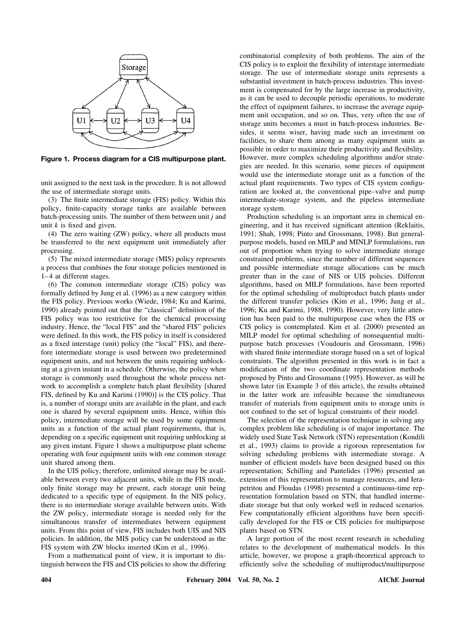

**Figure 1. Process diagram for a CIS multipurpose plant.**

unit assigned to the next task in the procedure. It is not allowed the use of intermediate storage units.

(3) The finite intermediate storage (FIS) policy. Within this policy, finite-capacity storage tanks are available between batch-processing units. The number of them between unit *j* and unit *k* is fixed and given.

(4) The zero waiting (ZW) policy, where all products must be transferred to the next equipment unit immediately after processing.

(5) The mixed intermediate storage (MIS) policy represents a process that combines the four storage policies mentioned in 1–4 at different stages.

(6) The common intermediate storage (CIS) policy was formally defined by Jung et al. (1996) as a new category within the FIS policy. Previous works (Wiede, 1984; Ku and Karimi, 1990) already pointed out that the "classical" definition of the FIS policy was too restrictive for the chemical processing industry. Hence, the "local FIS" and the "shared FIS" policies were defined. In this work, the FIS policy in itself is considered as a fixed interstage (unit) policy (the "local" FIS), and therefore intermediate storage is used between two predetermined equipment units, and not between the units requiring unblocking at a given instant in a schedule. Otherwise, the policy when storage is commonly used throughout the whole process network to accomplish a complete batch plant flexibility [shared FIS, defined by Ku and Karimi (1990)] is the CIS policy. That is, a number of storage units are available in the plant, and each one is shared by several equipment units. Hence, within this policy, intermediate storage will be used by some equipment units as a function of the actual plant requirements, that is, depending on a specific equipment unit requiring unblocking at any given instant. Figure 1 shows a multipurpose plant scheme operating with four equipment units with one common storage unit shared among them.

In the UIS policy, therefore, unlimited storage may be available between every two adjacent units, while in the FIS mode, only finite storage may be present, each storage unit being dedicated to a specific type of equipment. In the NIS policy, there is no intermediate storage available between units. With the ZW policy, intermediate storage is needed only for the simultaneous transfer of intermediates between equipment units. From this point of view, FIS includes both UIS and NIS policies. In addition, the MIS policy can be understood as the FIS system with ZW blocks inserted (Kim et al., 1996).

From a mathematical point of view, it is important to distinguish between the FIS and CIS policies to show the differing

combinatorial complexity of both problems. The aim of the CIS policy is to exploit the flexibility of interstage intermediate storage. The use of intermediate storage units represents a substantial investment in batch-process industries. This investment is compensated for by the large increase in productivity, as it can be used to decouple periodic operations, to moderate the effect of equipment failures, to increase the average equipment unit occupation, and so on. Thus, very often the use of storage units becomes a must in batch-process industries. Besides, it seems wiser, having made such an investment on facilities, to share them among as many equipment units as possible in order to maximize their productivity and flexibility. However, more complex scheduling algorithms and/or strategies are needed. In this scenario, some pieces of equipment would use the intermediate storage unit as a function of the actual plant requirements. Two types of CIS system configuration are looked at, the conventional pipe–valve and pump intermediate-storage system, and the pipeless intermediate storage system.

Production scheduling is an important area in chemical engineering, and it has received significant attention (Reklaitis, 1991; Shah, 1998; Pinto and Grossmann, 1998). But generalpurpose models, based on MILP and MINLP formulations, run out of proportion when trying to solve intermediate storage constrained problems, since the number of different sequences and possible intermediate storage allocations can be much greater than in the case of NIS or UIS policies. Different algorithms, based on MILP formulations, have been reported for the optimal scheduling of multiproduct batch plants under the different transfer policies (Kim et al., 1996; Jung et al., 1996; Ku and Karimi, 1988, 1990). However, very little attention has been paid to the multipurpose case when the FIS or CIS policy is contemplated. Kim et al. (2000) presented an MILP model for optimal scheduling of nonsequential multipurpose batch processes (Voudouris and Grossmann, 1996) with shared finite intermediate storage based on a set of logical constraints. The algorithm presented in this work is in fact a modification of the two coordinate representation methods proposed by Pinto and Grossmann (1995). However, as will be shown later (in Example 3 of this article), the results obtained in the latter work are infeasible because the simultaneous transfer of materials from equipment units to storage units is not confined to the set of logical constraints of their model.

The selection of the representation technique in solving any complex problem like scheduling is of major importance. The widely used State Task Network (STN) representation (Kondili et al., 1993) claims to provide a rigorous representation for solving scheduling problems with intermediate storage. A number of efficient models have been designed based on this representation; Schilling and Pantelides (1996) presented an extension of this representation to manage resources, and Ierapetritou and Floudas (1998) presented a continuous-time representation formulation based on STN, that handled intermediate storage but that only worked well in reduced scenarios. Few computationally efficient algorithms have been specifically developed for the FIS or CIS policies for multipurpose plants based on STN.

A large portion of the most recent research in scheduling relates to the development of mathematical models. In this article, however, we propose a graph-theoretical approach to efficiently solve the scheduling of multiproduct/multipurpose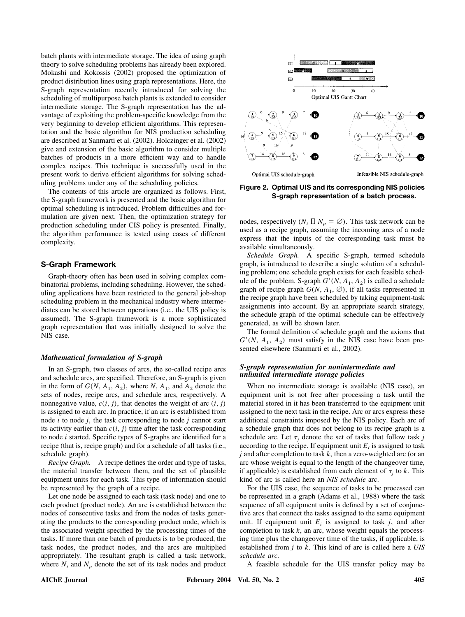batch plants with intermediate storage. The idea of using graph theory to solve scheduling problems has already been explored. Mokashi and Kokossis (2002) proposed the optimization of product distribution lines using graph representations. Here, the S-graph representation recently introduced for solving the scheduling of multipurpose batch plants is extended to consider intermediate storage. The S-graph representation has the advantage of exploiting the problem-specific knowledge from the very beginning to develop efficient algorithms. This representation and the basic algorithm for NIS production scheduling are described at Sanmarti et al. (2002). Holczinger et al. (2002) give and extension of the basic algorithm to consider multiple batches of products in a more efficient way and to handle complex recipes. This technique is successfully used in the present work to derive efficient algorithms for solving scheduling problems under any of the scheduling policies.

The contents of this article are organized as follows. First, the S-graph framework is presented and the basic algorithm for optimal scheduling is introduced. Problem difficulties and formulation are given next. Then, the optimization strategy for production scheduling under CIS policy is presented. Finally, the algorithm performance is tested using cases of different complexity.

### **S-Graph Framework**

Graph-theory often has been used in solving complex combinatorial problems, including scheduling. However, the scheduling applications have been restricted to the general job-shop scheduling problem in the mechanical industry where intermediates can be stored between operations (i.e., the UIS policy is assumed). The S-graph framework is a more sophisticated graph representation that was initially designed to solve the NIS case.

#### *Mathematical formulation of S-graph*

In an S-graph, two classes of arcs, the so-called recipe arcs and schedule arcs, are specified. Therefore, an S-graph is given in the form of  $G(N, A_1, A_2)$ , where  $N, A_1$ , and  $A_2$  denote the sets of nodes, recipe arcs, and schedule arcs, respectively. A nonnegative value,  $c(i, j)$ , that denotes the weight of arc  $(i, j)$ is assigned to each arc. In practice, if an arc is established from node *i* to node *j*, the task corresponding to node *j* cannot start its activity earlier than  $c(i, j)$  time after the task corresponding to node *i* started. Specific types of S-graphs are identified for a recipe (that is, recipe graph) and for a schedule of all tasks (i.e., schedule graph).

*Recipe Graph.* A recipe defines the order and type of tasks, the material transfer between them, and the set of plausible equipment units for each task. This type of information should be represented by the graph of a recipe.

Let one node be assigned to each task (task node) and one to each product (product node). An arc is established between the nodes of consecutive tasks and from the nodes of tasks generating the products to the corresponding product node, which is the associated weight specified by the processing times of the tasks. If more than one batch of products is to be produced, the task nodes, the product nodes, and the arcs are multiplied appropriately. The resultant graph is called a task network, where  $N_t$  and  $N_p$  denote the set of its task nodes and product



Optimal UIS schedule-graph

Infeasible NIS schedule-graph

**Figure 2. Optimal UIS and its corresponding NIS policies S-graph representation of a batch process.**

nodes, respectively  $(N_t \Pi N_p = \emptyset)$ . This task network can be used as a recipe graph, assuming the incoming arcs of a node express that the inputs of the corresponding task must be available simultaneously.

*Schedule Graph.* A specific S-graph, termed schedule graph, is introduced to describe a single solution of a scheduling problem; one schedule graph exists for each feasible schedule of the problem. S-graph  $G'(N, A_1, A_2)$  is called a schedule graph of recipe graph  $G(N, A_1, \emptyset)$ , if all tasks represented in the recipe graph have been scheduled by taking equipment-task assignments into account. By an appropriate search strategy, the schedule graph of the optimal schedule can be effectively generated, as will be shown later.

The formal definition of schedule graph and the axioms that  $G'(N, A_1, A_2)$  must satisfy in the NIS case have been presented elsewhere (Sanmarti et al., 2002).

# *S-graph representation for nonintermediate and unlimited intermediate storage policies*

When no intermediate storage is available (NIS case), an equipment unit is not free after processing a task until the material stored in it has been transferred to the equipment unit assigned to the next task in the recipe. Arc or arcs express these additional constraints imposed by the NIS policy. Each arc of a schedule graph that does not belong to its recipe graph is a schedule arc. Let  $\tau_i$  denote the set of tasks that follow task *j* according to the recipe. If equipment unit  $E_i$  is assigned to task *j* and after completion to task *k*, then a zero-weighted arc (or an arc whose weight is equal to the length of the changeover time, if applicable) is established from each element of  $\tau_i$  to  $k$ . This kind of arc is called here an *NIS schedule* arc.

For the UIS case, the sequence of tasks to be processed can be represented in a graph (Adams et al., 1988) where the task sequence of all equipment units is defined by a set of conjunctive arcs that connect the tasks assigned to the same equipment unit. If equipment unit  $E_i$  is assigned to task  $j$ , and after completion to task  $k$ , an arc, whose weight equals the processing time plus the changeover time of the tasks, if applicable, is established from *j* to *k*. This kind of arc is called here a *UIS schedule arc.*

A feasible schedule for the UIS transfer policy may be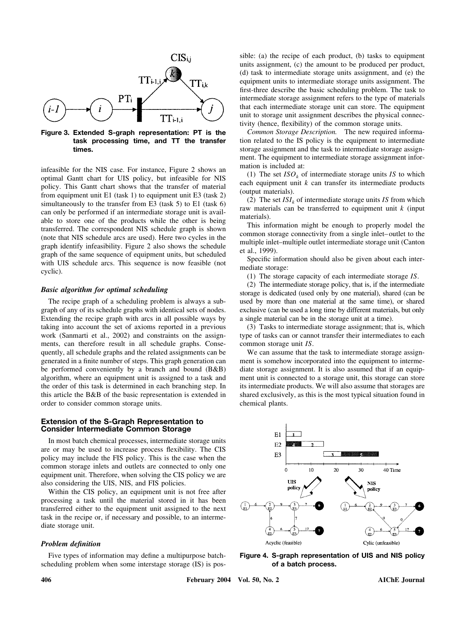

**Figure 3. Extended S-graph representation: PT is the task processing time, and TT the transfer times.**

infeasible for the NIS case. For instance, Figure 2 shows an optimal Gantt chart for UIS policy, but infeasible for NIS policy. This Gantt chart shows that the transfer of material from equipment unit E1 (task 1) to equipment unit E3 (task 2) simultaneously to the transfer from E3 (task 5) to E1 (task 6) can only be performed if an intermediate storage unit is available to store one of the products while the other is being transferred. The correspondent NIS schedule graph is shown (note that NIS schedule arcs are used). Here two cycles in the graph identify infeasibility. Figure 2 also shows the schedule graph of the same sequence of equipment units, but scheduled with UIS schedule arcs. This sequence is now feasible (not cyclic).

# *Basic algorithm for optimal scheduling*

The recipe graph of a scheduling problem is always a subgraph of any of its schedule graphs with identical sets of nodes. Extending the recipe graph with arcs in all possible ways by taking into account the set of axioms reported in a previous work (Sanmarti et al., 2002) and constraints on the assignments, can therefore result in all schedule graphs. Consequently, all schedule graphs and the related assignments can be generated in a finite number of steps. This graph generation can be performed conveniently by a branch and bound (B&B) algorithm, where an equipment unit is assigned to a task and the order of this task is determined in each branching step. In this article the B&B of the basic representation is extended in order to consider common storage units.

#### **Extension of the S-Graph Representation to Consider Intermediate Common Storage**

In most batch chemical processes, intermediate storage units are or may be used to increase process flexibility. The CIS policy may include the FIS policy. This is the case when the common storage inlets and outlets are connected to only one equipment unit. Therefore, when solving the CIS policy we are also considering the UIS, NIS, and FIS policies.

Within the CIS policy, an equipment unit is not free after processing a task until the material stored in it has been transferred either to the equipment unit assigned to the next task in the recipe or, if necessary and possible, to an intermediate storage unit.

#### *Problem definition*

Five types of information may define a multipurpose batchscheduling problem when some interstage storage (IS) is pos-

sible: (a) the recipe of each product, (b) tasks to equipment units assignment, (c) the amount to be produced per product, (d) task to intermediate storage units assignment, and (e) the equipment units to intermediate storage units assignment. The first-three describe the basic scheduling problem. The task to intermediate storage assignment refers to the type of materials that each intermediate storage unit can store. The equipment unit to storage unit assignment describes the physical connectivity (hence, flexibility) of the common storage units.

*Common Storage Description.* The new required information related to the IS policy is the equipment to intermediate storage assignment and the task to intermediate storage assignment. The equipment to intermediate storage assignment information is included at:

(1) The set  $ISO<sub>k</sub>$  of intermediate storage units *IS* to which each equipment unit *k* can transfer its intermediate products (output materials).

(2) The set  $ISI_k$  of intermediate storage units *IS* from which raw materials can be transferred to equipment unit *k* (input materials).

This information might be enough to properly model the common storage connectivity from a single inlet– outlet to the multiple inlet–multiple outlet intermediate storage unit (Canton et al., 1999).

Specific information should also be given about each intermediate storage:

(1) The storage capacity of each intermediate storage *IS*.

(2) The intermediate storage policy, that is, if the intermediate storage is dedicated (used only by one material), shared (can be used by more than one material at the same time), or shared exclusive (can be used a long time by different materials, but only a single material can be in the storage unit at a time).

(3) Tasks to intermediate storage assignment; that is, which type of tasks can or cannot transfer their intermediates to each common storage unit *IS*.

We can assume that the task to intermediate storage assignment is somehow incorporated into the equipment to intermediate storage assignment. It is also assumed that if an equipment unit is connected to a storage unit, this storage can store its intermediate products. We will also assume that storages are shared exclusively, as this is the most typical situation found in chemical plants.



**Figure 4. S-graph representation of UIS and NIS policy of a batch process.**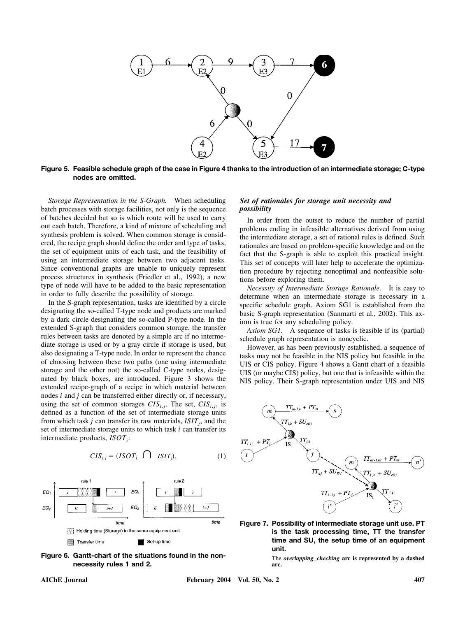

**Figure 5. Feasible schedule graph of the case in Figure 4 thanks to the introduction of an intermediate storage; C-type nodes are omitted.**

*Storage Representation in the S-Graph.* When scheduling batch processes with storage facilities, not only is the sequence of batches decided but so is which route will be used to carry out each batch. Therefore, a kind of mixture of scheduling and synthesis problem is solved. When common storage is considered, the recipe graph should define the order and type of tasks, the set of equipment units of each task, and the feasibility of using an intermediate storage between two adjacent tasks. Since conventional graphs are unable to uniquely represent process structures in synthesis (Friedler et al., 1992), a new type of node will have to be added to the basic representation in order to fully describe the possibility of storage.

In the S-graph representation, tasks are identified by a circle designating the so-called T-type node and products are marked by a dark circle designating the so-called P-type node. In the extended S-graph that considers common storage, the transfer rules between tasks are denoted by a simple arc if no intermediate storage is used or by a gray circle if storage is used, but also designating a T-type node. In order to represent the chance of choosing between these two paths (one using intermediate storage and the other not) the so-called C-type nodes, designated by black boxes, are introduced. Figure 3 shows the extended recipe-graph of a recipe in which material between nodes *i* and *j* can be transferred either directly or, if necessary, using the set of common storages  $CIS_{i,j}$ . The set,  $CIS_{i,j}$ , is defined as a function of the set of intermediate storage units from which task  $j$  can transfer its raw materials,  $ISIT_j$ , and the set of intermediate storage units to which task *i* can transfer its intermediate products, *ISOT*<sub>i</sub>:

$$
CIS_{i,j} = (ISOT_i \ \ \bigcap \ \ ISIT_j). \tag{1}
$$





#### *Set of rationales for storage unit necessity and possibility*

In order from the outset to reduce the number of partial problems ending in infeasible alternatives derived from using the intermediate storage, a set of rational rules is defined. Such rationales are based on problem-specific knowledge and on the fact that the S-graph is able to exploit this practical insight. This set of concepts will later help to accelerate the optimization procedure by rejecting nonoptimal and nonfeasible solutions before exploring them.

*Necessity of Intermediate Storage Rationale.* It is easy to determine when an intermediate storage is necessary in a specific schedule graph. Axiom SG1 is established from the basic S-graph representation (Sanmarti et al., 2002). This axiom is true for any scheduling policy.

*Axiom SG1.* A sequence of tasks is feasible if its (partial) schedule graph representation is noncyclic.

However, as has been previously established, a sequence of tasks may not be feasible in the NIS policy but feasible in the UIS or CIS policy. Figure 4 shows a Gantt chart of a feasible UIS (or maybe CIS) policy, but one that is infeasible within the NIS policy. Their S-graph representation under UIS and NIS



**Figure 7. Possibility of intermediate storage unit use. PT is the task processing time, TT the transfer time and SU, the setup time of an equipment unit.**

The *overlapping\_checking* **arc is represented by a dashed arc.**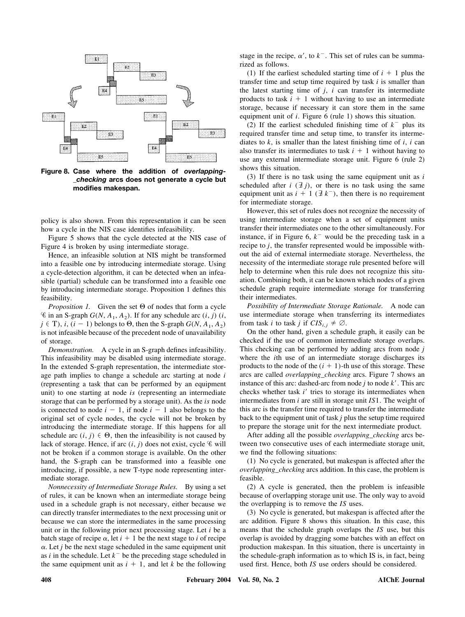

**Figure 8. Case where the addition of** *overlapping- \_checking* **arcs does not generate a cycle but modifies makespan.**

policy is also shown. From this representation it can be seen how a cycle in the NIS case identifies infeasibility.

Figure 5 shows that the cycle detected at the NIS case of Figure 4 is broken by using intermediate storage.

Hence, an infeasible solution at NIS might be transformed into a feasible one by introducing intermediate storage. Using a cycle-detection algorithm, it can be detected when an infeasible (partial) schedule can be transformed into a feasible one by introducing intermediate storage. Proposition 1 defines this feasibility.

*Proposition 1.* Given the set  $\Theta$  of nodes that form a cycle  $\mathscr{C}$  in an S-graph  $G(N, A_1, A_2)$ . If for any schedule arc  $(i, j)$   $(i, j)$  $j \in \text{T}$ , *i*,  $(i - 1)$  belongs to  $\Theta$ , then the S-graph  $G(N, A_1, A_2)$ is not infeasible because of the precedent node of unavailability of storage.

*Demonstration.* A cycle in an S-graph defines infeasibility. This infeasibility may be disabled using intermediate storage. In the extended S-graph representation, the intermediate storage path implies to change a schedule arc starting at node *i* (representing a task that can be performed by an equipment unit) to one starting at node *is* (representing an intermediate storage that can be performed by a storage unit). As the *is* node is connected to node  $i - 1$ , if node  $i - 1$  also belongs to the original set of cycle nodes, the cycle will not be broken by introducing the intermediate storage. If this happens for all schedule arc  $(i, j) \in \Theta$ , then the infeasibility is not caused by lack of storage. Hence, if arc  $(i, j)$  does not exist, cycle  $\mathscr C$  will not be broken if a common storage is available. On the other hand, the S-graph can be transformed into a feasible one introducing, if possible, a new T-type node representing intermediate storage.

*Nonnecessity of Intermediate Storage Rules.* By using a set of rules, it can be known when an intermediate storage being used in a schedule graph is not necessary, either because we can directly transfer intermediates to the next processing unit or because we can store the intermediates in the same processing unit or in the following prior next processing stage. Let *i* be a batch stage of recipe  $\alpha$ , let  $i + 1$  be the next stage to *i* of recipe  $\alpha$ . Let *j* be the next stage scheduled in the same equipment unit as *i* in the schedule. Let  $k^-$  be the preceding stage scheduled in the same equipment unit as  $i + 1$ , and let *k* be the following

stage in the recipe,  $\alpha'$ , to  $k^-$ . This set of rules can be summarized as follows.

(1) If the earliest scheduled starting time of  $i + 1$  plus the transfer time and setup time required by task *i* is smaller than the latest starting time of  $j$ ,  $i$  can transfer its intermediate products to task  $i + 1$  without having to use an intermediate storage, because if necessary it can store them in the same equipment unit of *i*. Figure 6 (rule 1) shows this situation.

(2) If the earliest scheduled finishing time of  $k^-$  plus its required transfer time and setup time, to transfer its intermediates to *k*, is smaller than the latest finishing time of *i*, *i* can also transfer its intermediates to task  $i + 1$  without having to use any external intermediate storage unit. Figure 6 (rule 2) shows this situation.

(3) If there is no task using the same equipment unit as *i* scheduled after  $i \in J$  *j*), or there is no task using the same equipment unit as  $i + 1$  ( $\exists k$ ), then there is no requirement for intermediate storage.

However, this set of rules does not recognize the necessity of using intermediate storage when a set of equipment units transfer their intermediates one to the other simultaneously. For instance, if in Figure 6,  $k^-$  would be the preceding task in a recipe to *j*, the transfer represented would be impossible without the aid of external intermediate storage. Nevertheless, the necessity of the intermediate storage rule presented before will help to determine when this rule does not recognize this situation. Combining both, it can be known which nodes of a given schedule graph require intermediate storage for transferring their intermediates.

*Possibility of Intermediate Storage Rationale.* A node can use intermediate storage when transferring its intermediates from task *i* to task *j* if  $CIS_{i,j} \neq \emptyset$ .

On the other hand, given a schedule graph, it easily can be checked if the use of common intermediate storage overlaps. This checking can be performed by adding arcs from node *j* where the *i*th use of an intermediate storage discharges its products to the node of the  $(i + 1)$ -th use of this storage. These arcs are called *overlapping\_checking* arcs. Figure 7 shows an instance of this arc: dashed-arc from node  $j$  to node  $k'$ . This arc checks whether task *i'* tries to storage its intermediates when intermediates from *i* are still in storage unit *IS*1. The weight of this arc is the transfer time required to transfer the intermediate back to the equipment unit of task *j* plus the setup time required to prepare the storage unit for the next intermediate product.

After adding all the possible *overlapping\_checking* arcs between two consecutive uses of each intermediate storage unit, we find the following situations:

(1) No cycle is generated, but makespan is affected after the *overlapping\_checking* arcs addition. In this case, the problem is feasible.

(2) A cycle is generated, then the problem is infeasible because of overlapping storage unit use. The only way to avoid the overlapping is to remove the *IS* uses.

(3) No cycle is generated, but makespan is affected after the arc addition. Figure 8 shows this situation. In this case, this means that the schedule graph overlaps the *IS* use, but this overlap is avoided by dragging some batches with an effect on production makespan. In this situation, there is uncertainty in the schedule-graph information as to which IS is, in fact, being used first. Hence, both *IS* use orders should be considered.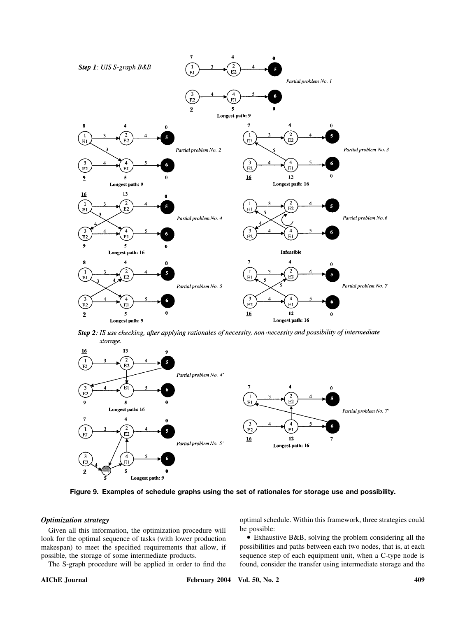

Step 2: IS use checking, after applying rationales of necessity, non-necessity and possibility of intermediate storage.



**Figure 9. Examples of schedule graphs using the set of rationales for storage use and possibility.**

#### *Optimization strategy*

Given all this information, the optimization procedure will look for the optimal sequence of tasks (with lower production makespan) to meet the specified requirements that allow, if possible, the storage of some intermediate products.

The S-graph procedure will be applied in order to find the

optimal schedule. Within this framework, three strategies could be possible:

● Exhaustive B&B, solving the problem considering all the possibilities and paths between each two nodes, that is, at each sequence step of each equipment unit, when a C-type node is found, consider the transfer using intermediate storage and the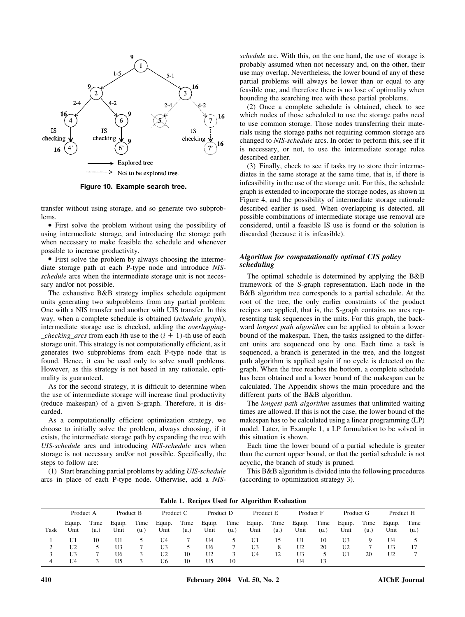

**Figure 10. Example search tree.**

transfer without using storage, and so generate two subproblems.

● First solve the problem without using the possibility of using intermediate storage, and introducing the storage path when necessary to make feasible the schedule and whenever possible to increase productivity.

• First solve the problem by always choosing the intermediate storage path at each P-type node and introduce *NISschedule* arcs when the intermediate storage unit is not necessary and/or not possible.

The exhaustive B&B strategy implies schedule equipment units generating two subproblems from any partial problem: One with a NIS transfer and another with UIS transfer. In this way, when a complete schedule is obtained (*schedule graph*), intermediate storage use is checked, adding the *overlapping- \_checking\_arcs* from each *i*th use to the  $(i + 1)$ -th use of each storage unit. This strategy is not computationally efficient, as it generates two subproblems from each P-type node that is found. Hence, it can be used only to solve small problems. However, as this strategy is not based in any rationale, optimality is guaranteed.

As for the second strategy, it is difficult to determine when the use of intermediate storage will increase final productivity (reduce makespan) of a given S-graph. Therefore, it is discarded.

As a computationally efficient optimization strategy, we choose to initially solve the problem, always choosing, if it exists, the intermediate storage path by expanding the tree with *UIS-schedule* arcs and introducing *NIS-schedule* arcs when storage is not necessary and/or not possible. Specifically, the steps to follow are:

(1) Start branching partial problems by adding *UIS-schedule* arcs in place of each P-type node. Otherwise, add a *NIS-*

*schedule* arc. With this, on the one hand, the use of storage is probably assumed when not necessary and, on the other, their use may overlap. Nevertheless, the lower bound of any of these partial problems will always be lower than or equal to any feasible one, and therefore there is no lose of optimality when bounding the searching tree with these partial problems.

(2) Once a complete schedule is obtained, check to see which nodes of those scheduled to use the storage paths need to use common storage. Those nodes transferring their materials using the storage paths not requiring common storage are changed to *NIS-schedule* arcs. In order to perform this, see if it is necessary, or not, to use the intermediate storage rules described earlier.

(3) Finally, check to see if tasks try to store their intermediates in the same storage at the same time, that is, if there is infeasibility in the use of the storage unit. For this, the schedule graph is extended to incorporate the storage nodes, as shown in Figure 4, and the possibility of intermediate storage rationale described earlier is used. When overlapping is detected, all possible combinations of intermediate storage use removal are considered, until a feasible IS use is found or the solution is discarded (because it is infeasible).

# *Algorithm for computationally optimal CIS policy scheduling*

The optimal schedule is determined by applying the B&B framework of the S-graph representation. Each node in the B&B algorithm tree corresponds to a partial schedule. At the root of the tree, the only earlier constraints of the product recipes are applied, that is, the S-graph contains no arcs representing task sequences in the units. For this graph, the backward *longest path algorithm* can be applied to obtain a lower bound of the makespan. Then, the tasks assigned to the different units are sequenced one by one. Each time a task is sequenced, a branch is generated in the tree, and the longest path algorithm is applied again if no cycle is detected on the graph. When the tree reaches the bottom, a complete schedule has been obtained and a lower bound of the makespan can be calculated. The Appendix shows the main procedure and the different parts of the B&B algorithm.

The *longest path algorithm* assumes that unlimited waiting times are allowed. If this is not the case, the lower bound of the makespan has to be calculated using a linear programming (LP) model. Later, in Example 1, a LP formulation to be solved in this situation is shown.

Each time the lower bound of a partial schedule is greater than the current upper bound, or that the partial schedule is not acyclic, the branch of study is pruned.

This B&B algorithm is divided into the following procedures (according to optimization strategy 3).

**Table 1. Recipes Used for Algorithm Evaluation**

|      | Product A      |             | Product B      |             | Product C      |              | Product D      |              | Product E      |             | Product F      |              | Product G      |              | Product H      |              |
|------|----------------|-------------|----------------|-------------|----------------|--------------|----------------|--------------|----------------|-------------|----------------|--------------|----------------|--------------|----------------|--------------|
| Task | Equip.<br>Unit | Time<br>(u. | Equip.<br>Unit | Time<br>(u. | Equip.<br>Unit | Time<br>(u.) | Equip.<br>Unit | Time<br>(u.) | Equip.<br>Unit | Time<br>(u. | Equip.<br>Unit | Time<br>(u.) | Equip.<br>Unit | Time<br>(u.) | Equip.<br>Unit | Time<br>(u.) |
|      | U1             | 10          |                |             | U4             |              | U4             |              | U1             | 15          | U1             | 10           | U3             |              | U <sub>4</sub> |              |
|      | U2             |             | U3             |             | U3             |              | U6             |              | U <sub>3</sub> | 8           | U <sub>2</sub> | 20           | U <sub>2</sub> |              | U3             |              |
|      | U3             |             | U6             |             | U <sub>2</sub> | 10           | U2             |              | U <sub>4</sub> | 12          | U <sub>3</sub> |              | U1             | 20           | U <sub>2</sub> |              |
|      | U4             |             | U5             |             | U6             | 10           | U5             | 10           |                |             | U4             | 13           |                |              |                |              |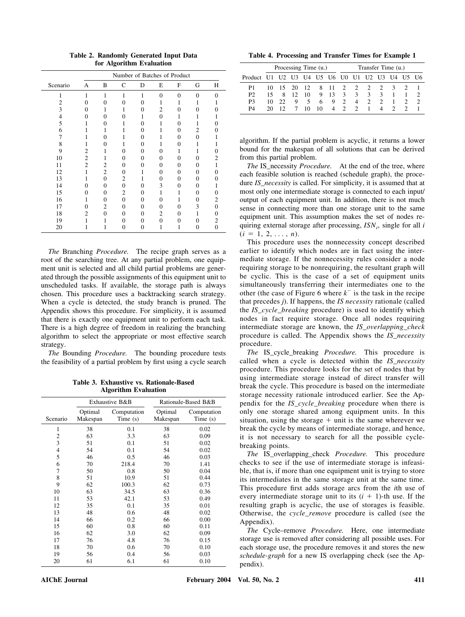**Table 2. Randomly Generated Input Data for Algorithm Evaluation**

|                |                | Number of Batches of Product |              |                   |                |          |                   |   |  |  |  |  |  |
|----------------|----------------|------------------------------|--------------|-------------------|----------------|----------|-------------------|---|--|--|--|--|--|
| Scenario       | A              | B                            | $\mathsf{C}$ | D                 | E              | F        | G                 | H |  |  |  |  |  |
| 1              | 1              | 1                            | 1            | 1                 | $\Omega$       | $\Omega$ | $\Omega$          | 0 |  |  |  |  |  |
| $\mathfrak{D}$ | 0              | 0                            | 0            | 0                 | 1              |          |                   |   |  |  |  |  |  |
| 3              | 0              |                              |              | 0                 | 2              | 0        |                   |   |  |  |  |  |  |
| 4              | 0              | 0                            | 0            | 1                 | 0              |          |                   |   |  |  |  |  |  |
| 5              |                | 0                            |              | 0                 |                | 0        |                   |   |  |  |  |  |  |
| 6              |                |                              |              | 0                 |                | 0        | 2                 |   |  |  |  |  |  |
| 7              |                | 0                            |              | 0                 | 1              | 0        | Ω                 |   |  |  |  |  |  |
| 8              |                |                              |              | 0                 |                | 0        |                   |   |  |  |  |  |  |
| 9              | 2              |                              | Ω            | 0                 | Ω              |          |                   |   |  |  |  |  |  |
| 10             | $\overline{2}$ |                              | 0            | 0                 | Ω              | 0        |                   |   |  |  |  |  |  |
| 11             | $\overline{2}$ | 2                            | 0            | Ω                 | Ω              | 0        | 0                 |   |  |  |  |  |  |
| 12             | 1              | $\overline{c}$               | 0            | 1                 | 0              | 0        | $\mathbf{\Omega}$ |   |  |  |  |  |  |
| 13             |                | 0                            | 2            |                   | 0              | 0        |                   |   |  |  |  |  |  |
| 14             | 0              | 0                            | 0            | 0                 | 3              | 0        | 0                 |   |  |  |  |  |  |
| 15             | 0              | 0                            | 2            | $\mathbf{\Omega}$ | 1              |          |                   |   |  |  |  |  |  |
| 16             |                | 0                            | 0            | 0                 | 0              |          | Ω                 | 2 |  |  |  |  |  |
| 17             | Ω              | 2                            | 0            | 0                 | 0              | 0        | 3                 | 0 |  |  |  |  |  |
| 18             | $\mathfrak{D}$ | 0                            | 0            | 0                 | $\overline{c}$ | 0        |                   |   |  |  |  |  |  |
| 19             |                |                              | 0            | Ω                 | 0              | 0        | 0                 |   |  |  |  |  |  |
| 20             |                |                              |              | 0                 | 1              |          | 0                 | 0 |  |  |  |  |  |

*The* Branching *Procedure.* The recipe graph serves as a root of the searching tree. At any partial problem, one equipment unit is selected and all child partial problems are generated through the possible assignments of this equipment unit to unscheduled tasks. If available, the storage path is always chosen. This procedure uses a backtracking search strategy. When a cycle is detected, the study branch is pruned. The Appendix shows this procedure. For simplicity, it is assumed that there is exactly one equipment unit to perform each task. There is a high degree of freedom in realizing the branching algorithm to select the appropriate or most effective search strategy.

*The* Bounding *Procedure.* The bounding procedure tests the feasibility of a partial problem by first using a cycle search

**Table 3. Exhaustive vs. Rationale-Based Algorithm Evaluation**

|                          |                     | Exhaustive B&B            |                     | Rationale-Based B&B       |
|--------------------------|---------------------|---------------------------|---------------------|---------------------------|
| Scenario                 | Optimal<br>Makespan | Computation<br>Time $(s)$ | Optimal<br>Makespan | Computation<br>Time $(s)$ |
| 1                        | 38                  | 0.1                       | 38                  | 0.02                      |
| $\overline{\mathbf{c}}$  | 63                  | 3.3                       | 63                  | 0.09                      |
| 3                        | 51                  | 0.1                       | 51                  | 0.02                      |
| $\overline{\mathcal{L}}$ | 54                  | 0.1                       | 54                  | 0.02                      |
| 5                        | 46                  | 0.5                       | 46                  | 0.03                      |
| 6                        | 70                  | 218.4                     | 70                  | 1.41                      |
| 7                        | 50                  | 0.8                       | 50                  | 0.04                      |
| 8                        | 51                  | 10.9                      | 51                  | 0.44                      |
| 9                        | 62                  | 100.3                     | 62                  | 0.73                      |
| 10                       | 63                  | 34.5                      | 63                  | 0.36                      |
| 11                       | 53                  | 42.1                      | 53                  | 0.49                      |
| 12                       | 35                  | 0.1                       | 35                  | 0.01                      |
| 13                       | 48                  | 0.6                       | 48                  | 0.02                      |
| 14                       | 66                  | 0.2                       | 66                  | 0.00                      |
| 15                       | 60                  | 0.8                       | 60                  | 0.11                      |
| 16                       | 62                  | 3.0                       | 62                  | 0.09                      |
| 17                       | 76                  | 4.8                       | 76                  | 0.15                      |
| 18                       | 70                  | 0.6                       | 70                  | 0.10                      |
| 19                       | 56                  | 0.4                       | 56                  | 0.03                      |
| 20                       | 61                  | 6.1                       | 61                  | 0.10                      |

**Table 4. Processing and Transfer Times for Example 1**

|                                                |     | Processing Time (u.)   |    |     |    |      | Transfer Time (u.) |               |               |               |   |   |  |  |  |
|------------------------------------------------|-----|------------------------|----|-----|----|------|--------------------|---------------|---------------|---------------|---|---|--|--|--|
| Product U1 U2 U3 U4 U5 U6 U0 U1 U2 U3 U4 U5 U6 |     |                        |    |     |    |      |                    |               |               |               |   |   |  |  |  |
| P1                                             |     | $10 \quad 15 \quad 20$ |    | 12. |    | 8 11 | 2                  | 2             | $\mathcal{D}$ | $\mathcal{P}$ | 3 |   |  |  |  |
| P2                                             | 15. | 8                      | 12 | 10  | 9  | 13   | $\overline{3}$     | 3             | 3             | 3             |   |   |  |  |  |
| P3                                             | 10  | 22                     | 9  | 5.  | 6  | 9    | $\mathcal{D}$      | 4             | $\mathcal{D}$ | $\mathcal{D}$ |   | 2 |  |  |  |
| P4                                             | 20  |                        |    | 10  | 10 | 4    | $\overline{2}$     | $\mathcal{D}$ | 1             | Δ             |   |   |  |  |  |

algorithm. If the partial problem is acyclic, it returns a lower bound for the makespan of all solutions that can be derived from this partial problem.

*The* IS necessity *Procedure*. At the end of the tree, where each feasible solution is reached (schedule graph), the procedure *IS\_necessity* is called. For simplicity, it is assumed that at most only one intermediate storage is connected to each input/ output of each equipment unit. In addition, there is not much sense in connecting more than one storage unit to the same equipment unit. This assumption makes the set of nodes requiring external storage after processing,  $ISN_i$ , single for all *i*  $(i = 1, 2, \ldots, n).$ 

This procedure uses the nonnecessity concept described earlier to identify which nodes are in fact using the intermediate storage. If the nonnecessity rules consider a node requiring storage to be nonrequiring, the resultant graph will be cyclic. This is the case of a set of equipment units simultaneously transferring their intermediates one to the other (the case of Figure 6 where  $k^-$  is the task in the recipe that precedes *j*). If happens, the *IS necessity* rationale (called the *IS\_cycle\_breaking* procedure) is used to identify which nodes in fact require storage. Once all nodes requiring intermediate storage are known, the *IS\_overlapping\_check* procedure is called. The Appendix shows the *IS\_necessity* procedure.

*The* IS\_cycle\_breaking *Procedure.* This procedure is called when a cycle is detected within the *IS\_necessity* procedure. This procedure looks for the set of nodes that by using intermediate storage instead of direct transfer will break the cycle. This procedure is based on the intermediate storage necessity rationale introduced earlier. See the Appendix for the *IS\_cycle\_breaking* procedure when there is only one storage shared among equipment units. In this situation, using the storage  $+$  unit is the same wherever we break the cycle by means of intermediate storage, and hence, it is not necessary to search for all the possible cyclebreaking points.

*The* IS\_overlapping\_check *Procedure.* This procedure checks to see if the use of intermediate storage is infeasible, that is, if more than one equipment unit is trying to store its intermediates in the same storage unit at the same time. This procedure first adds storage arcs from the *i*th use of every intermediate storage unit to its  $(i + 1)$ -th use. If the resulting graph is acyclic, the use of storages is feasible. Otherwise, the *cycle\_remove* procedure is called (see the Appendix).

*The* Cycle–remove *Procedure.* Here, one intermediate storage use is removed after considering all possible uses. For each storage use, the procedure removes it and stores the new *schedule-graph* for a new IS overlapping check (see the Appendix).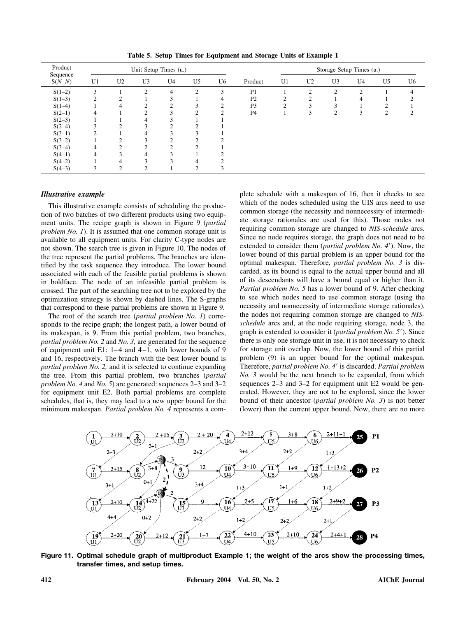| Product<br>Sequence |                |                |               | Unit Setup Times (u.) |                |                |                | Storage Setup Times (u.) |                |                |               |                |               |  |  |
|---------------------|----------------|----------------|---------------|-----------------------|----------------|----------------|----------------|--------------------------|----------------|----------------|---------------|----------------|---------------|--|--|
| $S(N-N)$            | U <sub>1</sub> | U <sub>2</sub> | U3            | U4                    | U <sub>5</sub> | U6             | Product        | U <sub>1</sub>           | U <sub>2</sub> | U <sub>3</sub> | U4            | U5             | U6            |  |  |
| $S(1-2)$            | 3              |                | $\mathcal{D}$ | 4                     | $\overline{2}$ | 3              | P <sub>1</sub> |                          | ↑              | C              | $\mathcal{D}$ |                | 4             |  |  |
| $S(1-3)$            | $\overline{2}$ | ◠              |               | 3                     |                | 4              | P <sub>2</sub> | ◠                        | $\overline{c}$ |                | 4             |                |               |  |  |
| $S(1-4)$            |                | 4              | ◠             | $\sim$                |                | $\Omega$       | P <sub>3</sub> | ↑                        | 3              |                |               |                |               |  |  |
| $S(2-1)$            | 4              |                | ↑             | ◠                     | $\sim$         | $\overline{c}$ | <b>P4</b>      |                          | 3              | 2              | 3             | $\overline{2}$ | $\mathcal{D}$ |  |  |
| $S(2-3)$            |                |                | 4             | $\sim$                |                |                |                |                          |                |                |               |                |               |  |  |
| $S(2-4)$            | 3              | ◠              | 3             |                       |                |                |                |                          |                |                |               |                |               |  |  |
| $S(3-1)$            | $\overline{c}$ |                | 4             | ◠                     |                |                |                |                          |                |                |               |                |               |  |  |
| $S(3-2)$            |                | ◠              | 3             | $\sim$                | $\sim$         |                |                |                          |                |                |               |                |               |  |  |
| $S(3-4)$            | 4              | ◠              | ↑             |                       |                |                |                |                          |                |                |               |                |               |  |  |
| $S(4-1)$            | 4              | 3              | 4             | ◠                     |                |                |                |                          |                |                |               |                |               |  |  |
| $S(4-2)$            |                | 4              | 3             | 3                     | 4              |                |                |                          |                |                |               |                |               |  |  |
| $S(4-3)$            | 3              | C              | 2             |                       | ◠<br>∠         |                |                |                          |                |                |               |                |               |  |  |

**Table 5. Setup Times for Equipment and Storage Units of Example 1**

### *Illustrative example*

This illustrative example consists of scheduling the production of two batches of two different products using two equipment units. The recipe graph is shown in Figure 9 (*partial problem No. 1*). It is assumed that one common storage unit is available to all equipment units. For clarity C-type nodes are not shown. The search tree is given in Figure 10. The nodes of the tree represent the partial problems. The branches are identified by the task sequence they introduce. The lower bound associated with each of the feasible partial problems is shown in boldface. The node of an infeasible partial problem is crossed. The part of the searching tree not to be explored by the optimization strategy is shown by dashed lines. The S-graphs that correspond to these partial problems are shown in Figure 9.

The root of the search tree (*partial problem No. 1*) corresponds to the recipe graph; the longest path, a lower bound of its makespan, is 9. From this partial problem, two branches, *partial problem No. 2* and *No. 3,* are generated for the sequence of equipment unit E1:  $1-4$  and  $4-1$ , with lower bounds of 9 and 16, respectively. The branch with the best lower bound is *partial problem No. 2,* and it is selected to continue expanding the tree. From this partial problem, two branches (*partial problem No. 4* and *No. 5*) are generated: sequences 2–3 and 3–2 for equipment unit E2. Both partial problems are complete schedules, that is, they may lead to a new upper bound for the minimum makespan. *Partial problem No. 4* represents a complete schedule with a makespan of 16, then it checks to see which of the nodes scheduled using the UIS arcs need to use common storage (the necessity and nonnecessity of intermediate storage rationales are used for this). Those nodes not requiring common storage are changed to *NIS-schedule* arcs. Since no node requires storage, the graph does not need to be extended to consider them (*partial problem No. 4*). Now, the lower bound of this partial problem is an upper bound for the optimal makespan. Therefore, *partial problem No. 3* is discarded, as its bound is equal to the actual upper bound and all of its descendants will have a bound equal or higher than it. *Partial problem No. 5* has a lower bound of 9. After checking to see which nodes need to use common storage (using the necessity and nonnecessity of intermediate storage rationales), the nodes not requiring common storage are changed to *NISschedule* arcs and, at the node requiring storage, node 3, the graph is extended to consider it (*partial problem No. 5*). Since there is only one storage unit in use, it is not necessary to check for storage unit overlap. Now, the lower bound of this partial problem (9) is an upper bound for the optimal makespan. Therefore, *partial problem No. 4* is discarded. *Partial problem No. 3* would be the next branch to be expanded, from which sequences 2–3 and 3–2 for equipment unit E2 would be generated. However, they are not to be explored, since the lower bound of their ancestor (*partial problem No. 3*) is not better (lower) than the current upper bound. Now, there are no more



**Figure 11. Optimal schedule graph of multiproduct Example 1; the weight of the arcs show the processing times, transfer times, and setup times.**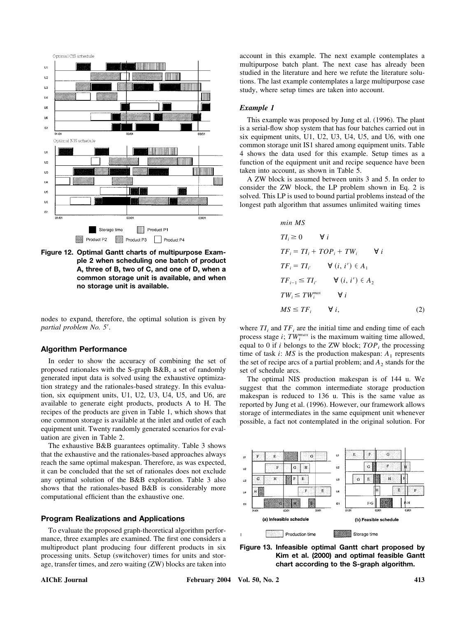

**Figure 12. Optimal Gantt charts of multipurpose Example 2 when scheduling one batch of product A, three of B, two of C, and one of D, when a common storage unit is available, and when no storage unit is available.**

nodes to expand, therefore, the optimal solution is given by *partial problem No. 5.*

#### **Algorithm Performance**

In order to show the accuracy of combining the set of proposed rationales with the S-graph B&B, a set of randomly generated input data is solved using the exhaustive optimization strategy and the rationales-based strategy. In this evaluation, six equipment units, U1, U2, U3, U4, U5, and U6, are available to generate eight products, products A to H. The recipes of the products are given in Table 1, which shows that one common storage is available at the inlet and outlet of each equipment unit. Twenty randomly generated scenarios for evaluation are given in Table 2.

The exhaustive B&B guarantees optimality. Table 3 shows that the exhaustive and the rationales-based approaches always reach the same optimal makespan. Therefore, as was expected, it can be concluded that the set of rationales does not exclude any optimal solution of the B&B exploration. Table 3 also shows that the rationales-based B&B is considerably more computational efficient than the exhaustive one.

# **Program Realizations and Applications**

To evaluate the proposed graph-theoretical algorithm performance, three examples are examined. The first one considers a multiproduct plant producing four different products in six processing units. Setup (switchover) times for units and storage, transfer times, and zero waiting (ZW) blocks are taken into

account in this example. The next example contemplates a multipurpose batch plant. The next case has already been studied in the literature and here we refute the literature solutions. The last example contemplates a large multipurpose case study, where setup times are taken into account.

### *Example 1*

This example was proposed by Jung et al. (1996). The plant is a serial-flow shop system that has four batches carried out in six equipment units, U1, U2, U3, U4, U5, and U6, with one common storage unit IS1 shared among equipment units. Table 4 shows the data used for this example. Setup times as a function of the equipment unit and recipe sequence have been taken into account, as shown in Table 5.

A ZW block is assumed between units 3 and 5. In order to consider the ZW block, the LP problem shown in Eq. 2 is solved. This LP is used to bound partial problems instead of the longest path algorithm that assumes unlimited waiting times

$$
min MS
$$
  
\n
$$
TI_{i} \ge 0 \qquad \forall i
$$
  
\n
$$
TF_{i} = TI_{i} + TOP_{i} + TW_{i} \qquad \forall i
$$
  
\n
$$
TF_{i} = TI_{i'} \qquad \forall (i, i') \in A_{1}
$$
  
\n
$$
TF_{i-1} \le TI_{i'} \qquad \forall (i, i') \in A_{2}
$$
  
\n
$$
TW_{i} \le TW_{i}^{max} \qquad \forall i
$$
  
\n
$$
MS \le TF_{i} \qquad \forall i,
$$
\n(2)

where  $TI_i$  and  $TF_i$  are the initial time and ending time of each process stage  $i$ ;  $TW_i^{max}$  is the maximum waiting time allowed, equal to 0 if  $i$  belongs to the ZW block;  $TOP_i$  the processing time of task *i*:  $MS$  is the production makespan:  $A_1$  represents the set of recipe arcs of a partial problem; and  $A<sub>2</sub>$  stands for the set of schedule arcs.

The optimal NIS production makespan is of 144 u. We suggest that the common intermediate storage production makespan is reduced to 136 u. This is the same value as reported by Jung et al. (1996). However, our framework allows storage of intermediates in the same equipment unit whenever possible, a fact not contemplated in the original solution. For



**Figure 13. Infeasible optimal Gantt chart proposed by Kim et al. (2000) and optimal feasible Gantt chart according to the S-graph algorithm.**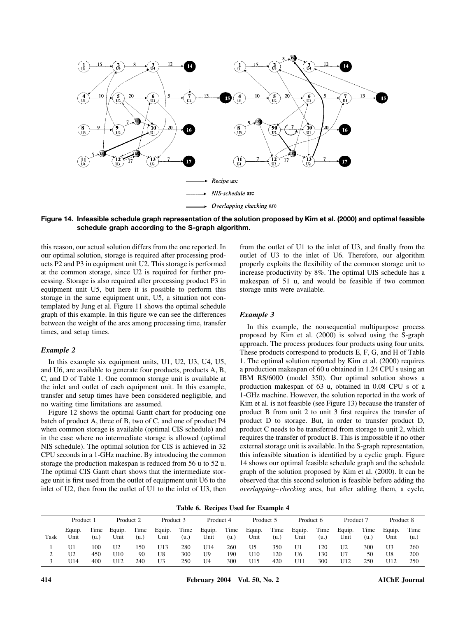

**Figure 14. Infeasible schedule graph representation of the solution proposed by Kim et al. (2000) and optimal feasible schedule graph according to the S-graph algorithm.**

this reason, our actual solution differs from the one reported. In our optimal solution, storage is required after processing products P2 and P3 in equipment unit U2. This storage is performed at the common storage, since U2 is required for further processing. Storage is also required after processing product P3 in equipment unit U5, but here it is possible to perform this storage in the same equipment unit, U5, a situation not contemplated by Jung et al. Figure 11 shows the optimal schedule graph of this example. In this figure we can see the differences between the weight of the arcs among processing time, transfer times, and setup times.

# *Example 2*

In this example six equipment units, U1, U2, U3, U4, U5, and U6, are available to generate four products, products A, B, C, and D of Table 1. One common storage unit is available at the inlet and outlet of each equipment unit. In this example, transfer and setup times have been considered negligible, and no waiting time limitations are assumed.

Figure 12 shows the optimal Gantt chart for producing one batch of product A, three of B, two of C, and one of product P4 when common storage is available (optimal CIS schedule) and in the case where no intermediate storage is allowed (optimal NIS schedule). The optimal solution for CIS is achieved in 32 CPU seconds in a 1-GHz machine. By introducing the common storage the production makespan is reduced from 56 u to 52 u. The optimal CIS Gantt chart shows that the intermediate storage unit is first used from the outlet of equipment unit U6 to the inlet of U2, then from the outlet of U1 to the inlet of U3, then

from the outlet of U1 to the inlet of U3, and finally from the outlet of U3 to the inlet of U6. Therefore, our algorithm properly exploits the flexibility of the common storage unit to increase productivity by 8%. The optimal UIS schedule has a makespan of 51 u, and would be feasible if two common storage units were available.

#### *Example 3*

In this example, the nonsequential multipurpose process proposed by Kim et al. (2000) is solved using the S-graph approach. The process produces four products using four units. These products correspond to products E, F, G, and H of Table 1. The optimal solution reported by Kim et al. (2000) requires a production makespan of 60 u obtained in 1.24 CPU s using an IBM RS/6000 (model 350). Our optimal solution shows a production makespan of 63 u, obtained in 0.08 CPU s of a 1-GHz machine. However, the solution reported in the work of Kim et al. is not feasible (see Figure 13) because the transfer of product B from unit 2 to unit 3 first requires the transfer of product D to storage. But, in order to transfer product D, product C needs to be transferred from storage to unit 2, which requires the transfer of product B. This is impossible if no other external storage unit is available. In the S-graph representation, this infeasible situation is identified by a cyclic graph. Figure 14 shows our optimal feasible schedule graph and the schedule graph of the solution proposed by Kim et al. (2000). It can be observed that this second solution is feasible before adding the *overlapping– checking* arcs, but after adding them, a cycle,

**Table 6. Recipes Used for Example 4**

|      | Product 1      |              | Product 2      |             | Product 3      |             | Product 4      |             | Product 5      |              | Product 6      |              | Product 7      |              | Product 8      |              |
|------|----------------|--------------|----------------|-------------|----------------|-------------|----------------|-------------|----------------|--------------|----------------|--------------|----------------|--------------|----------------|--------------|
| Task | Equip.<br>Unit | Time<br>(u., | Equip.<br>Unit | Time<br>(u. | Equip.<br>Unit | Time<br>(u. | Equip.<br>Unit | Time<br>(u. | Equip.<br>Unit | Time<br>(u.) | Equip.<br>Unit | Time<br>(u.) | Equip.<br>Unit | Time<br>(u.) | Equip.<br>Unit | Time<br>(u.) |
|      | U1             | 100          | U <sub>2</sub> | 150         | U13            | 280         | U14            | 260         | U5             | 350          | U1             | 120          | U <sub>2</sub> | 300          | U3             | 260          |
|      | U2             | 450          | U10            | 90          | U8             | 300         | U9             | 190         | U10            | 120          | U6             | 30           | U7             | 50           | U8             | 200          |
|      | U14            | 400          | U12            | 240         | U <sub>3</sub> | 250         | U <sub>4</sub> | 300         | U15            | 420          | U11            | 300          | U12            | 250          | U12            | 250          |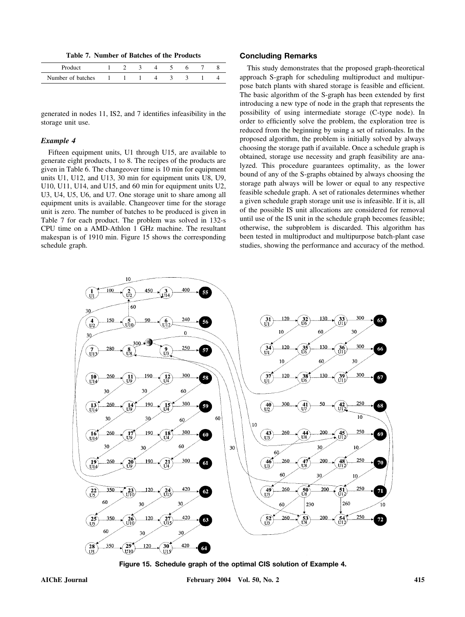**Table 7. Number of Batches of the Products**

| Product           |  |  |  |  |
|-------------------|--|--|--|--|
| Number of batches |  |  |  |  |

generated in nodes 11, IS2, and 7 identifies infeasibility in the storage unit use.

# *Example 4*

Fifteen equipment units, U1 through U15, are available to generate eight products, 1 to 8. The recipes of the products are given in Table 6. The changeover time is 10 min for equipment units U1, U12, and U13, 30 min for equipment units U8, U9, U10, U11, U14, and U15, and 60 min for equipment units U2, U3, U4, U5, U6, and U7. One storage unit to share among all equipment units is available. Changeover time for the storage unit is zero. The number of batches to be produced is given in Table 7 for each product. The problem was solved in 132-s CPU time on a AMD-Athlon 1 GHz machine. The resultant makespan is of 1910 min. Figure 15 shows the corresponding schedule graph.

# **Concluding Remarks**

This study demonstrates that the proposed graph-theoretical approach S-graph for scheduling multiproduct and multipurpose batch plants with shared storage is feasible and efficient. The basic algorithm of the S-graph has been extended by first introducing a new type of node in the graph that represents the possibility of using intermediate storage (C-type node). In order to efficiently solve the problem, the exploration tree is reduced from the beginning by using a set of rationales. In the proposed algorithm, the problem is initially solved by always choosing the storage path if available. Once a schedule graph is obtained, storage use necessity and graph feasibility are analyzed. This procedure guarantees optimality, as the lower bound of any of the S-graphs obtained by always choosing the storage path always will be lower or equal to any respective feasible schedule graph. A set of rationales determines whether a given schedule graph storage unit use is infeasible. If it is, all of the possible IS unit allocations are considered for removal until use of the IS unit in the schedule graph becomes feasible; otherwise, the subproblem is discarded. This algorithm has been tested in multiproduct and multipurpose batch-plant case studies, showing the performance and accuracy of the method.



**Figure 15. Schedule graph of the optimal CIS solution of Example 4.**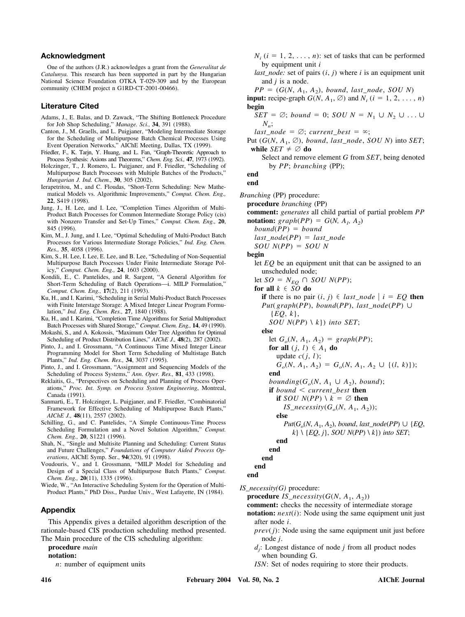#### **Acknowledgment**

One of the authors (J.R.) acknowledges a grant from the *Generalitat de Catalunya.* This research has been supported in part by the Hungarian National Science Foundation OTKA T-029-309 and by the European community (CHEM project n G1RD-CT-2001-00466).

#### **Literature Cited**

- Adams, J., E. Balas, and D. Zawack, "The Shifting Bottleneck Procedure for Job Shop Scheduling," *Manage. Sci.,* **34**, 391 (1988).
- Canton, J., M. Graells, and L. Puigjaner, "Modeling Intermediate Storage for the Scheduling of Multipurpose Batch Chemical Processes Using Event Operation Networks," AIChE Meeting, Dallas, TX (1999).
- Friedler, F., K. Tarjn, Y. Huang, and L. Fan, "Graph-Theoretic Approach to Process Systhesis: Axions and Theorems," *Chem. Eng. Sci.,* **47**, 1973 (1992).
- Holczinger, T., J. Romero, L. Puigjaner, and F. Friedler, "Scheduling of Multipurpose Batch Processes with Multiple Batches of the Products," *Hungarian J. Ind. Chem.,* **30**, 305 (2002).
- Ierapetritou, M., and C. Floudas, "Short-Term Scheduling: New Mathematical Models vs. Algorithmic Improvements," *Comput. Chem. Eng.,* **22**, S419 (1998).
- Jung, J., H. Lee, and I. Lee, "Completion Times Algorithm of Multi-Product Batch Processes for Common Intermediate Storage Policy (cis) with Nonzero Transfer and Set-Up Times," *Comput. Chem. Eng.,* **20**, 845 (1996).
- Kim, M., J. Jung, and I. Lee, "Optimal Scheduling of Multi-Product Batch Processes for Various Intermediate Storage Policies," *Ind. Eng. Chem. Res.,* **35**, 4058 (1996).
- Kim, S., H. Lee, I. Lee, E. Lee, and B. Lee, "Scheduling of Non-Sequential Multipurpose Batch Processes Under Finite Intermediate Storage Policy," *Comput. Chem. Eng.,* **24**, 1603 (2000).
- Kondili, E., C. Pantelides, and R. Sargent, "A General Algorithm for Short-Term Scheduling of Batch Operations—i. MILP Formulation,' *Comput. Chem. Eng.,* **17**(2), 211 (1993).
- Ku, H., and I. Karimi, "Scheduling in Serial Multi-Product Batch Processes with Finite Interstage Storage: A Mixed Integer Linear Program Formulation," *Ind. Eng. Chem. Res.,* **27**, 1840 (1988).
- Ku, H., and I. Karimi, "Completion Time Algorithms for Serial Multiproduct Batch Processes with Shared Storage," *Comput. Chem. Eng.,* **14**, 49 (1990).
- Mokashi, S., and A. Kokossis, "Maximum Oder Tree Algorithm for Optimal Scheduling of Product Distribution Lines," *AIChE J.,* **48**(2), 287 (2002).
- Pinto, J., and I. Grossmann, "A Continuous Time Mixed Integer Linear Programming Model for Short Term Scheduling of Multistage Batch Plants," *Ind. Eng. Chem. Res.,* **34**, 3037 (1995).
- Pinto, J., and I. Grossmann, "Assignment and Sequencing Models of the Scheduling of Process Systems," *Ann. Oper. Res.,* **81**, 433 (1998).
- Reklaitis, G., "Perspectives on Scheduling and Planning of Process Operations," *Proc. Int. Symp. on Process System Engineering*, Montreal, Canada (1991).
- Sanmarti, E., T. Holczinger, L. Puigjaner, and F. Friedler, "Combinatorial Framework for Effective Scheduling of Multipurpose Batch Plants," *AIChE J.,* **48**(11), 2557 (2002).
- Schilling, G., and C. Pantelides, "A Simple Continuous-Time Process Scheduling Formulation and a Novel Solution Algorithm," *Comput. Chem. Eng.,* **20**, S1221 (1996).
- Shah, N., "Single and Multisite Planning and Scheduling: Current Status and Future Challenges," *Foundations of Computer Aided Process Operations*, AIChE Symp. Ser., **94**(320), 91 (1998).
- Voudouris, V., and I. Grossmann, "MILP Model for Scheduling and Design of a Special Class of Multipurpose Batch Plants," *Comput. Chem. Eng.,* **20**(11), 1335 (1996).
- Wiede, W., "An Interactive Scheduling System for the Operation of Multi-Product Plants," PhD Diss., Purdue Univ., West Lafayette, IN (1984).

# **Appendix**

This Appendix gives a detailed algorithm description of the rationale-based CIS production scheduling method presented. The Main procedure of the CIS scheduling algorithm:

**procedure** *main*

**notation:**

*n*: number of equipment units

- $N_i$  ( $i = 1, 2, \ldots, n$ ): set of tasks that can be performed by equipment unit *i*
- *last\_node:* set of pairs  $(i, j)$  where  $i$  is an equipment unit and *j* is a node.

 $PP = (G(N, A_1, A_2), bound, last\_node, SOU N)$ 

**input:** recipe-graph  $G(N, A_1, \emptyset)$  and  $N_i$  ( $i = 1, 2, ..., n$ ) **begin**

 $SET = \emptyset$ ; *bound* = 0; *SOU N* =  $N_1 \cup N_2 \cup ... \cup$ *N<sub>n</sub>*;

 $last\_node = \emptyset$ ;  $current\_best = \infty$ ;

- Put  $(G(N, A_1, \emptyset))$ , *bound*, *last\_node*, *SOU N*) into *SET*; **while**  $SET \neq \emptyset$  **do** 
	- Select and remove element *G* from *SET*, being denoted by *PP*; *branching* (PP);

#### **end**

**end**

- *Branching* (PP) procedure:
- **procedure** *branching* (PP)

**comment:** *generates* all child partial of partial problem *PP* **notation:**  $graph(PP) = G(N, A<sub>1</sub>, A<sub>2</sub>)$ 

 $bound(PP) = bound$ 

*last*\_*node*(*PP*) - *last*\_*node*

$$
SOU N(PP) = SOU N
$$
  
**begin**

let *EQ* be an equipment unit that can be assigned to an unscheduled node;

let  $SO = N_{EQ} \cap SOU N(PP)$ ;

 $f$  *or* all  $k \in SO$  **do** 

- **if** there is no pair  $(i, j) \in last\_node \mid i = EQ$  then  $Put(*graph*(*PP*), *bound*(*PP*), *last*<sub>node</sub>(*PP*) \cup$ {*EQ*, *k*}, *SOU N*(*PP*) \ *k*}) *into SET*;
	- **else** let  $G_o(N, A_1, A_2) = graph(PP)$ ; **for all**  $(j, l) \in A_1$  **do** update  $c(j, l)$ ;  $G_o(N, A_1, A_2) = G_o(N, A_1, A_2 \cup \{(l, k)\});$ **end** *bounding*( $G_o(N, A_1 \cup A_2)$ , *bound*); **if** *bound*  $\leq$  *current best* **then if** *SOU*  $N(PP) \setminus k = \emptyset$  **then**  $IS\_necessity(G_o(N, A_1, A_2));$ **else**  $Put(G<sub>o</sub>(N, A<sub>1</sub>, A<sub>2</sub>), bound, last\_node(PP) \cup \{EQ,$ 
		- $k$ }  $\{EQ, j\}$ , *SOU N*(*PP*)  $\{k\}$ ) *into SET*; **end**

**end**

**end**

**end end**

*IS\_necessity(G)* procedure:

**procedure** *IS\_necessity*( $G(N, A_1, A_2)$ )

**comment:** checks the necessity of intermediate storage

- **notation:** *next*(*i*): Node using the same equipment unit just after node *i*.
	- *prev*( *j*): Node using the same equipment unit just before node *j*.
	- *dj* : Longest distance of node *j* from all product nodes when bounding G.
	- *ISN*: Set of nodes requiring to store their products.